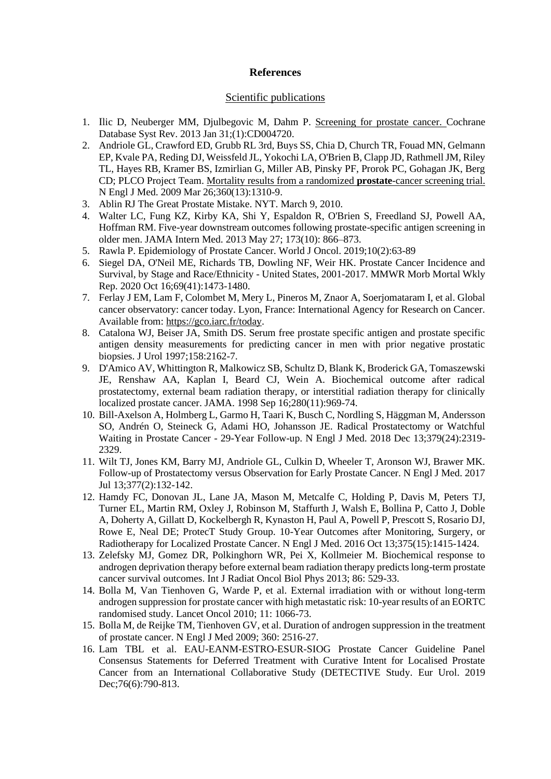# **References**

# Scientific publications

- 1. Ilic D, Neuberger MM, Djulbegovic M, Dahm P. [Screening for prostate cancer. C](https://pubmed.ncbi.nlm.nih.gov/23440794/)ochrane Database Syst Rev. 2013 Jan 31;(1):CD004720.
- 2. Andriole GL, Crawford ED, Grubb RL 3rd, Buys SS, Chia D, Church TR, Fouad MN, Gelmann EP, Kvale PA, Reding DJ, Weissfeld JL, Yokochi LA, O'Brien B, Clapp JD, Rathmell JM, Riley TL, Hayes RB, Kramer BS, Izmirlian G, Miller AB, Pinsky PF, Prorok PC, Gohagan JK, Berg CD; PLCO Project Team. [Mortality results from a randomized](https://pubmed.ncbi.nlm.nih.gov/19297565/) **prostate**-cancer screening trial. N Engl J Med. 2009 Mar 26;360(13):1310-9.
- 3. Ablin RJ The Great Prostate Mistake. NYT. March 9, 2010.
- 4. Walter LC, Fung KZ, Kirby KA, Shi Y, Espaldon R, O'Brien S, Freedland SJ, Powell AA, Hoffman RM. Five-year downstream outcomes following prostate-specific antigen screening in older men. JAMA Intern Med. 2013 May 27; 173(10): 866–873.
- 5. Rawla P. Epidemiology of Prostate Cancer. World J Oncol. 2019;10(2):63-89
- 6. Siegel DA, O'Neil ME, Richards TB, Dowling NF, Weir HK. Prostate Cancer Incidence and Survival, by Stage and Race/Ethnicity - United States, 2001-2017. MMWR Morb Mortal Wkly Rep. 2020 Oct 16;69(41):1473-1480.
- 7. Ferlay J EM, Lam F, Colombet M, Mery L, Pineros M, Znaor A, Soerjomataram I, et al. Global cancer observatory: cancer today. Lyon, France: International Agency for Research on Cancer. Available from: [https://gco.iarc.fr/today.](https://gco.iarc.fr/today)
- 8. Catalona WJ, Beiser JA, Smith DS. Serum free prostate specific antigen and prostate specific antigen density measurements for predicting cancer in men with prior negative prostatic biopsies. J Urol 1997;158:2162-7.
- 9. D'Amico AV, Whittington R, Malkowicz SB, Schultz D, Blank K, Broderick GA, Tomaszewski JE, Renshaw AA, Kaplan I, Beard CJ, Wein A. Biochemical outcome after radical prostatectomy, external beam radiation therapy, or interstitial radiation therapy for clinically localized prostate cancer. JAMA. 1998 Sep 16;280(11):969-74.
- 10. Bill-Axelson A, Holmberg L, Garmo H, Taari K, Busch C, Nordling S, Häggman M, Andersson SO, Andrén O, Steineck G, Adami HO, Johansson JE. Radical Prostatectomy or Watchful Waiting in Prostate Cancer - 29-Year Follow-up. N Engl J Med. 2018 Dec 13;379(24):2319- 2329.
- 11. Wilt TJ, Jones KM, Barry MJ, Andriole GL, Culkin D, Wheeler T, Aronson WJ, Brawer MK. Follow-up of Prostatectomy versus Observation for Early Prostate Cancer. N Engl J Med. 2017 Jul 13;377(2):132-142.
- 12. Hamdy FC, Donovan JL, Lane JA, Mason M, Metcalfe C, Holding P, Davis M, Peters TJ, Turner EL, Martin RM, Oxley J, Robinson M, Staffurth J, Walsh E, Bollina P, Catto J, Doble A, Doherty A, Gillatt D, Kockelbergh R, Kynaston H, Paul A, Powell P, Prescott S, Rosario DJ, Rowe E, Neal DE; ProtecT Study Group. 10-Year Outcomes after Monitoring, Surgery, or Radiotherapy for Localized Prostate Cancer. N Engl J Med. 2016 Oct 13;375(15):1415-1424.
- 13. Zelefsky MJ, Gomez DR, Polkinghorn WR, Pei X, Kollmeier M. Biochemical response to androgen deprivation therapy before external beam radiation therapy predicts long-term prostate cancer survival outcomes. Int J Radiat Oncol Biol Phys 2013; 86: 529-33.
- 14. Bolla M, Van Tienhoven G, Warde P, et al. External irradiation with or without long-term androgen suppression for prostate cancer with high metastatic risk: 10-year results of an EORTC randomised study. Lancet Oncol 2010; 11: 1066-73.
- 15. Bolla M, de Reijke TM, Tienhoven GV, et al. Duration of androgen suppression in the treatment of prostate cancer. N Engl J Med 2009; 360: 2516-27.
- 16. Lam TBL et al. EAU-EANM-ESTRO-ESUR-SIOG Prostate Cancer Guideline Panel Consensus Statements for Deferred Treatment with Curative Intent for Localised Prostate Cancer from an International Collaborative Study (DETECTIVE Study. Eur Urol. 2019 Dec;76(6):790-813.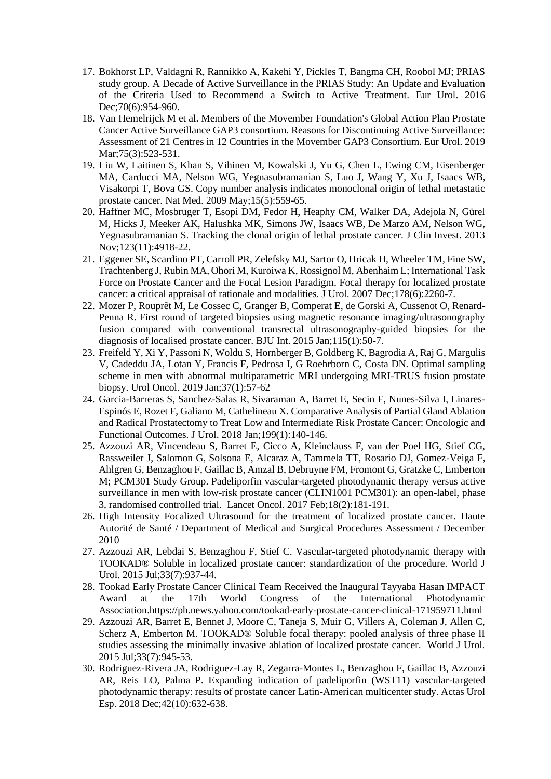- 17. Bokhorst LP, Valdagni R, Rannikko A, Kakehi Y, Pickles T, Bangma CH, Roobol MJ; PRIAS study group. A Decade of Active Surveillance in the PRIAS Study: An Update and Evaluation of the Criteria Used to Recommend a Switch to Active Treatment. Eur Urol. 2016 Dec;70(6):954-960.
- 18. Van Hemelrijck M et al. Members of the Movember Foundation's Global Action Plan Prostate Cancer Active Surveillance GAP3 consortium. Reasons for Discontinuing Active Surveillance: Assessment of 21 Centres in 12 Countries in the Movember GAP3 Consortium. Eur Urol. 2019 Mar; 75(3): 523-531.
- 19. Liu W, Laitinen S, Khan S, Vihinen M, Kowalski J, Yu G, Chen L, Ewing CM, Eisenberger MA, Carducci MA, Nelson WG, Yegnasubramanian S, Luo J, Wang Y, Xu J, Isaacs WB, Visakorpi T, Bova GS. Copy number analysis indicates monoclonal origin of lethal metastatic prostate cancer. Nat Med. 2009 May;15(5):559-65.
- 20. Haffner MC, Mosbruger T, Esopi DM, Fedor H, Heaphy CM, Walker DA, Adejola N, Gürel M, Hicks J, Meeker AK, Halushka MK, Simons JW, Isaacs WB, De Marzo AM, Nelson WG, Yegnasubramanian S. Tracking the clonal origin of lethal prostate cancer. J Clin Invest. 2013 Nov;123(11):4918-22.
- 21. Eggener SE, Scardino PT, Carroll PR, Zelefsky MJ, Sartor O, Hricak H, Wheeler TM, Fine SW, Trachtenberg J, Rubin MA, Ohori M, Kuroiwa K, Rossignol M, Abenhaim L; International Task Force on Prostate Cancer and the Focal Lesion Paradigm. Focal therapy for localized prostate cancer: a critical appraisal of rationale and modalities. J Urol. 2007 Dec;178(6):2260-7.
- 22. Mozer P, Rouprêt M, Le Cossec C, Granger B, Comperat E, de Gorski A, Cussenot O, Renard-Penna R. First round of targeted biopsies using magnetic resonance imaging/ultrasonography fusion compared with conventional transrectal ultrasonography-guided biopsies for the diagnosis of localised prostate cancer. BJU Int. 2015 Jan;115(1):50-7.
- 23. Freifeld Y, Xi Y, Passoni N, Woldu S, Hornberger B, Goldberg K, Bagrodia A, Raj G, Margulis V, Cadeddu JA, Lotan Y, Francis F, Pedrosa I, G Roehrborn C, Costa DN. Optimal sampling scheme in men with abnormal multiparametric MRI undergoing MRI-TRUS fusion prostate biopsy. Urol Oncol. 2019 Jan;37(1):57-62
- 24. Garcia-Barreras S, Sanchez-Salas R, Sivaraman A, Barret E, Secin F, Nunes-Silva I, Linares-Espinós E, Rozet F, Galiano M, Cathelineau X. Comparative Analysis of Partial Gland Ablation and Radical Prostatectomy to Treat Low and Intermediate Risk Prostate Cancer: Oncologic and Functional Outcomes. J Urol. 2018 Jan;199(1):140-146.
- 25. Azzouzi AR, Vincendeau S, Barret E, Cicco A, Kleinclauss F, van der Poel HG, Stief CG, Rassweiler J, Salomon G, Solsona E, Alcaraz A, Tammela TT, Rosario DJ, Gomez-Veiga F, Ahlgren G, Benzaghou F, Gaillac B, Amzal B, Debruyne FM, Fromont G, Gratzke C, Emberton M; PCM301 Study Group. [Padeliporfin vascular-targeted photodynamic therapy versus active](https://pubmed.ncbi.nlm.nih.gov/28007457/)  [surveillance in men with low-risk prostate cancer \(CLIN1001 PCM301\): an open-label, phase](https://pubmed.ncbi.nlm.nih.gov/28007457/)  [3, randomised controlled trial.](https://pubmed.ncbi.nlm.nih.gov/28007457/) Lancet Oncol. 2017 Feb;18(2):181-191.
- 26. High Intensity Focalized Ultrasound for the treatment of localized prostate cancer. Haute Autorité de Santé / Department of Medical and Surgical Procedures Assessment / December 2010
- 27. Azzouzi AR, Lebdai S, Benzaghou F, Stief C. Vascular-targeted photodynamic therapy with TOOKAD® Soluble in localized prostate cancer: standardization of the procedure. World J Urol. 2015 Jul;33(7):937-44.
- 28. Tookad Early Prostate Cancer Clinical Team Received the Inaugural Tayyaba Hasan IMPACT Award at the 17th World Congress of the International Photodynamic Association.https://ph.news.yahoo.com/tookad-early-prostate-cancer-clinical-171959711.html
- 29. Azzouzi AR, Barret E, Bennet J, Moore C, Taneja S, Muir G, Villers A, Coleman J, Allen C, Scherz A, Emberton M. TOOKAD® Soluble focal therapy: pooled analysis of three phase II studies assessing the minimally invasive ablation of localized prostate cancer. World J Urol. 2015 Jul;33(7):945-53.
- 30. Rodriguez-Rivera JA, Rodriguez-Lay R, Zegarra-Montes L, Benzaghou F, Gaillac B, Azzouzi AR, Reis LO, Palma P. Expanding indication of padeliporfin (WST11) vascular-targeted photodynamic therapy: results of prostate cancer Latin-American multicenter study. Actas Urol Esp. 2018 Dec;42(10):632-638.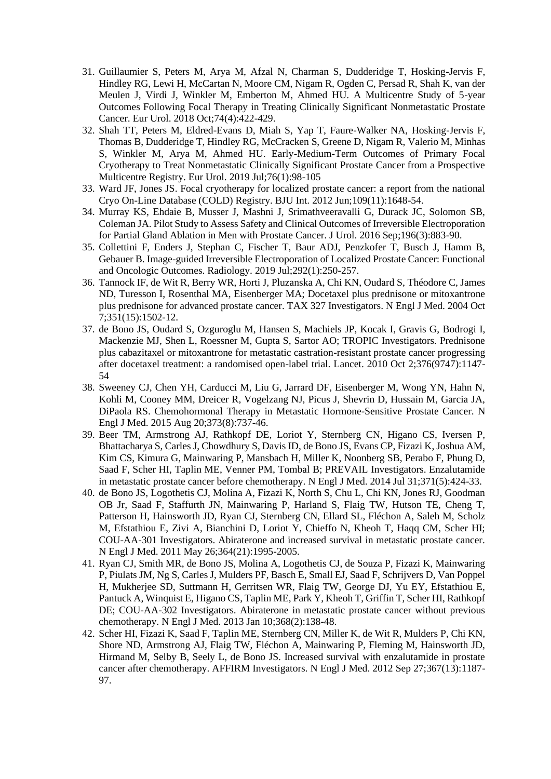- 31. Guillaumier S, Peters M, Arya M, Afzal N, Charman S, Dudderidge T, Hosking-Jervis F, Hindley RG, Lewi H, McCartan N, Moore CM, Nigam R, Ogden C, Persad R, Shah K, van der Meulen J, Virdi J, Winkler M, Emberton M, Ahmed HU. A Multicentre Study of 5-year Outcomes Following Focal Therapy in Treating Clinically Significant Nonmetastatic Prostate Cancer. Eur Urol. 2018 Oct;74(4):422-429.
- 32. Shah TT, Peters M, Eldred-Evans D, Miah S, Yap T, Faure-Walker NA, Hosking-Jervis F, Thomas B, Dudderidge T, Hindley RG, McCracken S, Greene D, Nigam R, Valerio M, Minhas S, Winkler M, Arya M, Ahmed HU. Early-Medium-Term Outcomes of Primary Focal Cryotherapy to Treat Nonmetastatic Clinically Significant Prostate Cancer from a Prospective Multicentre Registry. Eur Urol. 2019 Jul;76(1):98-105
- 33. Ward JF, Jones JS. Focal cryotherapy for localized prostate cancer: a report from the national Cryo On-Line Database (COLD) Registry. BJU Int. 2012 Jun;109(11):1648-54.
- 34. Murray KS, Ehdaie B, Musser J, Mashni J, Srimathveeravalli G, Durack JC, Solomon SB, Coleman JA. Pilot Study to Assess Safety and Clinical Outcomes of Irreversible Electroporation for Partial Gland Ablation in Men with Prostate Cancer. J Urol. 2016 Sep;196(3):883-90.
- 35. Collettini F, Enders J, Stephan C, Fischer T, Baur ADJ, Penzkofer T, Busch J, Hamm B, Gebauer B. Image-guided Irreversible Electroporation of Localized Prostate Cancer: Functional and Oncologic Outcomes. Radiology. 2019 Jul;292(1):250-257.
- 36. Tannock IF, de Wit R, Berry WR, Horti J, Pluzanska A, Chi KN, Oudard S, Théodore C, James ND, Turesson I, Rosenthal MA, Eisenberger MA; Docetaxel plus prednisone or mitoxantrone plus prednisone for advanced prostate cancer. TAX 327 Investigators. N Engl J Med. 2004 Oct 7;351(15):1502-12.
- 37. de Bono JS, Oudard S, Ozguroglu M, Hansen S, Machiels JP, Kocak I, Gravis G, Bodrogi I, Mackenzie MJ, Shen L, Roessner M, Gupta S, Sartor AO; TROPIC Investigators. Prednisone plus cabazitaxel or mitoxantrone for metastatic castration-resistant prostate cancer progressing after docetaxel treatment: a randomised open-label trial. Lancet. 2010 Oct 2;376(9747):1147- 54
- 38. Sweeney CJ, Chen YH, Carducci M, Liu G, Jarrard DF, Eisenberger M, Wong YN, Hahn N, Kohli M, Cooney MM, Dreicer R, Vogelzang NJ, Picus J, Shevrin D, Hussain M, Garcia JA, DiPaola RS. Chemohormonal Therapy in Metastatic Hormone-Sensitive Prostate Cancer. N Engl J Med. 2015 Aug 20;373(8):737-46.
- 39. Beer TM, Armstrong AJ, Rathkopf DE, Loriot Y, Sternberg CN, Higano CS, Iversen P, Bhattacharya S, Carles J, Chowdhury S, Davis ID, de Bono JS, Evans CP, Fizazi K, Joshua AM, Kim CS, Kimura G, Mainwaring P, Mansbach H, Miller K, Noonberg SB, Perabo F, Phung D, Saad F, Scher HI, Taplin ME, Venner PM, Tombal B; PREVAIL Investigators. Enzalutamide in metastatic prostate cancer before chemotherapy. N Engl J Med. 2014 Jul 31;371(5):424-33.
- 40. de Bono JS, Logothetis CJ, Molina A, Fizazi K, North S, Chu L, Chi KN, Jones RJ, Goodman OB Jr, Saad F, Staffurth JN, Mainwaring P, Harland S, Flaig TW, Hutson TE, Cheng T, Patterson H, Hainsworth JD, Ryan CJ, Sternberg CN, Ellard SL, Fléchon A, Saleh M, Scholz M, Efstathiou E, Zivi A, Bianchini D, Loriot Y, Chieffo N, Kheoh T, Haqq CM, Scher HI; COU-AA-301 Investigators. Abiraterone and increased survival in metastatic prostate cancer. N Engl J Med. 2011 May 26;364(21):1995-2005.
- 41. Ryan CJ, Smith MR, de Bono JS, Molina A, Logothetis CJ, de Souza P, Fizazi K, Mainwaring P, Piulats JM, Ng S, Carles J, Mulders PF, Basch E, Small EJ, Saad F, Schrijvers D, Van Poppel H, Mukherjee SD, Suttmann H, Gerritsen WR, Flaig TW, George DJ, Yu EY, Efstathiou E, Pantuck A, Winquist E, Higano CS, Taplin ME, Park Y, Kheoh T, Griffin T, Scher HI, Rathkopf DE; COU-AA-302 Investigators. Abiraterone in metastatic prostate cancer without previous chemotherapy. N Engl J Med. 2013 Jan 10;368(2):138-48.
- 42. Scher HI, Fizazi K, Saad F, Taplin ME, Sternberg CN, Miller K, de Wit R, Mulders P, Chi KN, Shore ND, Armstrong AJ, Flaig TW, Fléchon A, Mainwaring P, Fleming M, Hainsworth JD, Hirmand M, Selby B, Seely L, de Bono JS. Increased survival with enzalutamide in prostate cancer after chemotherapy. AFFIRM Investigators. N Engl J Med. 2012 Sep 27;367(13):1187- 97.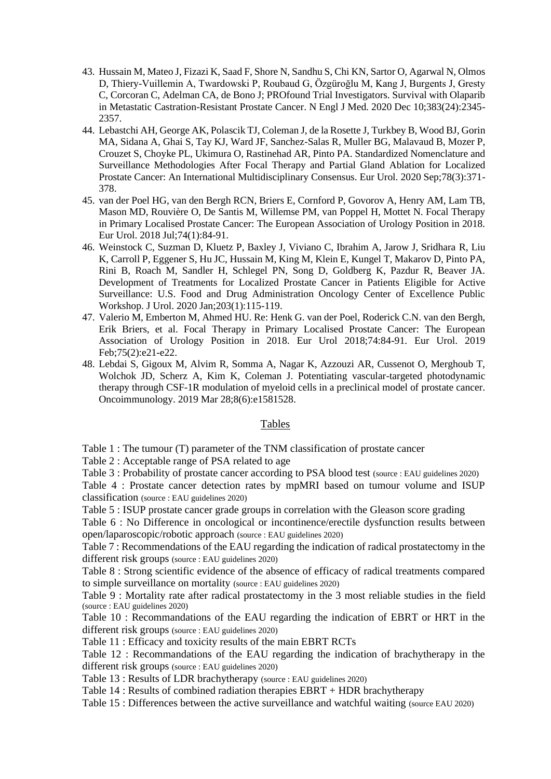- 43. Hussain M, Mateo J, Fizazi K, Saad F, Shore N, Sandhu S, Chi KN, Sartor O, Agarwal N, Olmos D, Thiery-Vuillemin A, Twardowski P, Roubaud G, Özgüroğlu M, Kang J, Burgents J, Gresty C, Corcoran C, Adelman CA, de Bono J; PROfound Trial Investigators. Survival with Olaparib in Metastatic Castration-Resistant Prostate Cancer. N Engl J Med. 2020 Dec 10;383(24):2345- 2357.
- 44. Lebastchi AH, George AK, Polascik TJ, Coleman J, de la Rosette J, Turkbey B, Wood BJ, Gorin MA, Sidana A, Ghai S, Tay KJ, Ward JF, Sanchez-Salas R, Muller BG, Malavaud B, Mozer P, Crouzet S, Choyke PL, Ukimura O, Rastinehad AR, Pinto PA. Standardized Nomenclature and Surveillance Methodologies After Focal Therapy and Partial Gland Ablation for Localized Prostate Cancer: An International Multidisciplinary Consensus. Eur Urol. 2020 Sep;78(3):371- 378.
- 45. van der Poel HG, van den Bergh RCN, Briers E, Cornford P, Govorov A, Henry AM, Lam TB, Mason MD, Rouvière O, De Santis M, Willemse PM, van Poppel H, Mottet N. Focal Therapy in Primary Localised Prostate Cancer: The European Association of Urology Position in 2018. Eur Urol. 2018 Jul;74(1):84-91.
- 46. Weinstock C, Suzman D, Kluetz P, Baxley J, Viviano C, Ibrahim A, Jarow J, Sridhara R, Liu K, Carroll P, Eggener S, Hu JC, Hussain M, King M, Klein E, Kungel T, Makarov D, Pinto PA, Rini B, Roach M, Sandler H, Schlegel PN, Song D, Goldberg K, Pazdur R, Beaver JA. Development of Treatments for Localized Prostate Cancer in Patients Eligible for Active Surveillance: U.S. Food and Drug Administration Oncology Center of Excellence Public Workshop. J Urol. 2020 Jan;203(1):115-119.
- 47. Valerio M, Emberton M, Ahmed HU. Re: Henk G. van der Poel, Roderick C.N. van den Bergh, Erik Briers, et al. Focal Therapy in Primary Localised Prostate Cancer: The European Association of Urology Position in 2018. Eur Urol 2018;74:84-91. Eur Urol. 2019 Feb;75(2):e21-e22.
- 48. Lebdai S, Gigoux M, Alvim R, Somma A, Nagar K, Azzouzi AR, Cussenot O, Merghoub T, Wolchok JD, Scherz A, Kim K, Coleman J. Potentiating vascular-targeted photodynamic therapy through CSF-1R modulation of myeloid cells in a preclinical model of prostate cancer. Oncoimmunology. 2019 Mar 28;8(6):e1581528.

# Tables

Table 1 : The tumour (T) parameter of the TNM classification of prostate cancer

Table 2 : Acceptable range of PSA related to age

Table 3 : Probability of prostate cancer according to PSA blood test (source : EAU guidelines 2020)

Table 4 : Prostate cancer detection rates by mpMRI based on tumour volume and ISUP classification (source : EAU guidelines 2020)

Table 5 : ISUP prostate cancer grade groups in correlation with the Gleason score grading

Table 6 : No Difference in oncological or incontinence/erectile dysfunction results between open/laparoscopic/robotic approach (source : EAU guidelines 2020)

Table 7 : Recommendations of the EAU regarding the indication of radical prostatectomy in the different risk groups (source : EAU guidelines 2020)

Table 8 : Strong scientific evidence of the absence of efficacy of radical treatments compared to simple surveillance on mortality (source : EAU guidelines 2020)

Table 9 : Mortality rate after radical prostatectomy in the 3 most reliable studies in the field (source : EAU guidelines 2020)

Table 10 : Recommandations of the EAU regarding the indication of EBRT or HRT in the different risk groups (source : EAU guidelines 2020)

Table 11 : Efficacy and toxicity results of the main EBRT RCTs

Table 12 : Recommandations of the EAU regarding the indication of brachytherapy in the different risk groups (source : EAU guidelines 2020)

Table 13 : Results of LDR brachytherapy (source : EAU guidelines 2020)

Table 14 : Results of combined radiation therapies EBRT + HDR brachytherapy

Table 15 : Differences between the active surveillance and watchful waiting (source EAU 2020)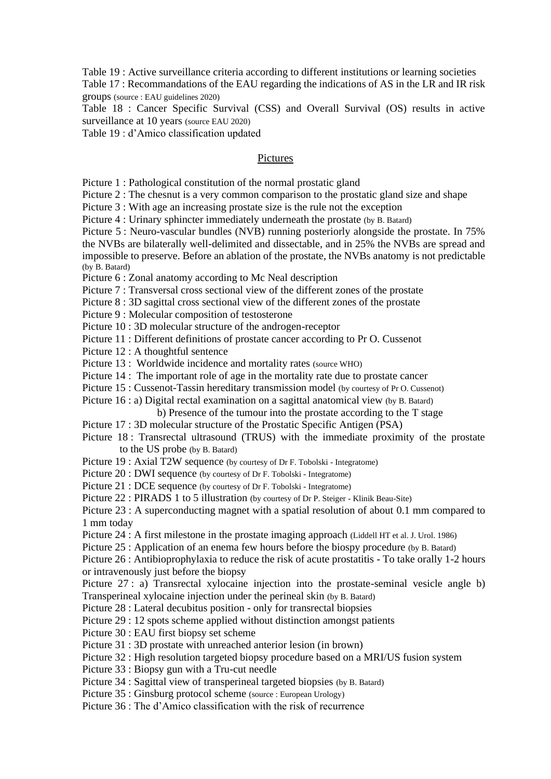Table 19 : Active surveillance criteria according to different institutions or learning societies Table 17 : Recommandations of the EAU regarding the indications of AS in the LR and IR risk groups (source : EAU guidelines 2020)

Table 18 : Cancer Specific Survival (CSS) and Overall Survival (OS) results in active surveillance at 10 years (source EAU 2020)

Table 19 : d'Amico classification updated

### Pictures

Picture 1 : Pathological constitution of the normal prostatic gland

Picture 2 : The chesnut is a very common comparison to the prostatic gland size and shape

Picture 3 : With age an increasing prostate size is the rule not the exception

Picture 4 : Urinary sphincter immediately underneath the prostate (by B. Batard)

Picture 5 : Neuro-vascular bundles (NVB) running posteriorly alongside the prostate. In 75% the NVBs are bilaterally well-delimited and dissectable, and in 25% the NVBs are spread and impossible to preserve. Before an ablation of the prostate, the NVBs anatomy is not predictable (by B. Batard)

Picture 6 : Zonal anatomy according to Mc Neal description

Picture 7 : Transversal cross sectional view of the different zones of the prostate

Picture 8 : 3D sagittal cross sectional view of the different zones of the prostate

Picture 9 : Molecular composition of testosterone

Picture 10 : 3D molecular structure of the androgen-receptor

Picture 11 : Different definitions of prostate cancer according to Pr O. Cussenot

Picture 12 : A thoughtful sentence

Picture 13 : Worldwide incidence and mortality rates (source WHO)

Picture 14 : The important role of age in the mortality rate due to prostate cancer

Picture 15 : Cussenot-Tassin hereditary transmission model (by courtesy of Pr O. Cussenot)

Picture 16 : a) Digital rectal examination on a sagittal anatomical view (by B. Batard)

b) Presence of the tumour into the prostate according to the T stage

Picture 17 : 3D molecular structure of the Prostatic Specific Antigen (PSA)

Picture 18 : Transrectal ultrasound (TRUS) with the immediate proximity of the prostate to the US probe (by B. Batard)

Picture 19 : Axial T2W sequence (by courtesy of Dr F. Tobolski - Integratome)

Picture 20 : DWI sequence (by courtesy of Dr F. Tobolski - Integratome)

Picture 21 : DCE sequence (by courtesy of Dr F. Tobolski - Integratome)

Picture 22 : PIRADS 1 to 5 illustration (by courtesy of Dr P. Steiger - Klinik Beau-Site)

Picture 23 : A superconducting magnet with a spatial resolution of about 0.1 mm compared to 1 mm today

Picture 24 : A first milestone in the prostate imaging approach (Liddell HT et al. J. Urol. 1986)

Picture 25 : Application of an enema few hours before the biospy procedure (by B. Batard)

Picture 26 : Antibioprophylaxia to reduce the risk of acute prostatitis - To take orally 1-2 hours or intravenously just before the biopsy

Picture 27 : a) Transrectal xylocaine injection into the prostate-seminal vesicle angle b) Transperineal xylocaine injection under the perineal skin (by B. Batard)

Picture 28 : Lateral decubitus position - only for transrectal biopsies

Picture 29 : 12 spots scheme applied without distinction amongst patients

Picture 30 : EAU first biopsy set scheme

Picture 31 : 3D prostate with unreached anterior lesion (in brown)

Picture 32 : High resolution targeted biopsy procedure based on a MRI/US fusion system

Picture 33 : Biopsy gun with a Tru-cut needle

Picture 34 : Sagittal view of transperineal targeted biopsies (by B. Batard)

Picture 35 : Ginsburg protocol scheme (source : European Urology)

Picture 36 : The d'Amico classification with the risk of recurrence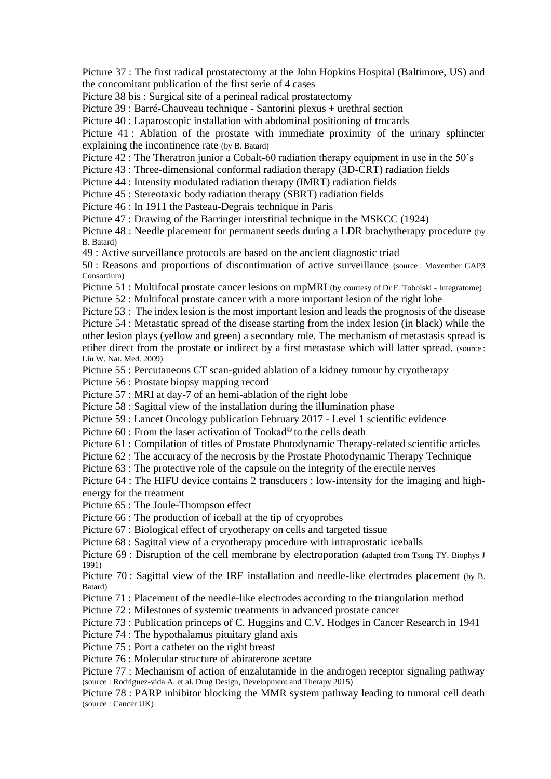Picture 37 : The first radical prostatectomy at the John Hopkins Hospital (Baltimore, US) and the concomitant publication of the first serie of 4 cases

Picture 38 bis : Surgical site of a perineal radical prostatectomy

Picture 39 : Barré-Chauveau technique - Santorini plexus + urethral section

Picture 40 : Laparoscopic installation with abdominal positioning of trocards

Picture 41 : Ablation of the prostate with immediate proximity of the urinary sphincter explaining the incontinence rate (by B. Batard)

Picture 42 : The Theratron junior a Cobalt-60 radiation therapy equipment in use in the 50's

Picture 43 : Three-dimensional conformal radiation therapy (3D-CRT) radiation fields

Picture 44 : Intensity modulated radiation therapy (IMRT) radiation fields

Picture 45 : Stereotaxic body radiation therapy (SBRT) radiation fields

Picture 46 : In 1911 the Pasteau-Degrais technique in Paris

Picture 47 : Drawing of the Barringer interstitial technique in the MSKCC (1924)

Picture 48 : Needle placement for permanent seeds during a LDR brachytherapy procedure (by B. Batard)

49 : Active surveillance protocols are based on the ancient diagnostic triad

50 : Reasons and proportions of discontinuation of active surveillance (source : Movember GAP3 Consortium)

Picture 51 : Multifocal prostate cancer lesions on mpMRI (by courtesy of Dr F. Tobolski - Integratome) Picture 52 : Multifocal prostate cancer with a more important lesion of the right lobe

Picture 53 : The index lesion is the most important lesion and leads the prognosis of the disease Picture 54 : Metastatic spread of the disease starting from the index lesion (in black) while the other lesion plays (yellow and green) a secondary role. The mechanism of metastasis spread is etiher direct from the prostate or indirect by a first metastase which will latter spread. (source : Liu W. Nat. Med. 2009)

Picture 55 : Percutaneous CT scan-guided ablation of a kidney tumour by cryotherapy

Picture 56 : Prostate biopsy mapping record

Picture 57 : MRI at day-7 of an hemi-ablation of the right lobe

Picture 58 : Sagittal view of the installation during the illumination phase

Picture 59 : Lancet Oncology publication February 2017 - Level 1 scientific evidence

Picture  $60$ : From the laser activation of Tookad<sup>®</sup> to the cells death

Picture 61 : Compilation of titles of Prostate Photodynamic Therapy-related scientific articles

Picture 62 : The accuracy of the necrosis by the Prostate Photodynamic Therapy Technique

Picture 63 : The protective role of the capsule on the integrity of the erectile nerves

Picture 64 : The HIFU device contains 2 transducers : low-intensity for the imaging and highenergy for the treatment

Picture 65 : The Joule-Thompson effect

Picture 66 : The production of iceball at the tip of cryoprobes

Picture 67 : Biological effect of cryotherapy on cells and targeted tissue

Picture 68 : Sagittal view of a cryotherapy procedure with intraprostatic iceballs

Picture 69 : Disruption of the cell membrane by electroporation (adapted from Tsong TY. Biophys J 1991)

Picture 70 : Sagittal view of the IRE installation and needle-like electrodes placement (by B. Batard)

Picture 71 : Placement of the needle-like electrodes according to the triangulation method

Picture 72 : Milestones of systemic treatments in advanced prostate cancer

Picture 73 : Publication princeps of C. Huggins and C.V. Hodges in Cancer Research in 1941

Picture 74 : The hypothalamus pituitary gland axis

Picture 75 : Port a catheter on the right breast

Picture 76 : Molecular structure of abiraterone acetate

Picture 77 : Mechanism of action of enzalutamide in the androgen receptor signaling pathway (source : Rodriguez-vida A. et al. Drug Design, Development and Therapy 2015)

Picture 78 : PARP inhibitor blocking the MMR system pathway leading to tumoral cell death (source : Cancer UK)